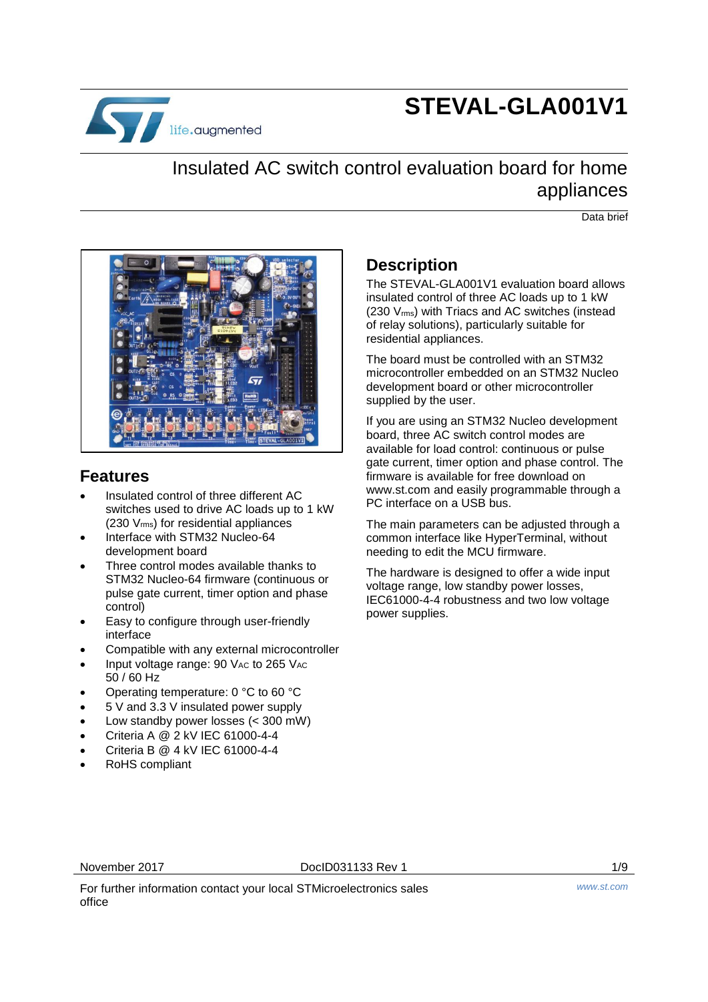

# **STEVAL-GLA001V1**

## Insulated AC switch control evaluation board for home appliances

Data brief



### **Features**

- Insulated control of three different AC switches used to drive AC loads up to 1 kW (230 Vrms) for residential appliances
- Interface with STM32 Nucleo-64 development board
- Three control modes available thanks to STM32 Nucleo-64 firmware (continuous or pulse gate current, timer option and phase control)
- Easy to configure through user-friendly interface
- Compatible with any external microcontroller
- Input voltage range:  $90$  V<sub>AC</sub> to 265 V<sub>AC</sub> 50 / 60 Hz
- Operating temperature: 0 °C to 60 °C
- 5 V and 3.3 V insulated power supply
- Low standby power losses (< 300 mW)
- Criteria A @ 2 kV IEC 61000-4-4
- Criteria B @ 4 kV IEC 61000-4-4
- RoHS compliant

## **Description**

The STEVAL-GLA001V1 evaluation board allows insulated control of three AC loads up to 1 kW (230 Vrms) with Triacs and AC switches (instead of relay solutions), particularly suitable for residential appliances.

The board must be controlled with an STM32 microcontroller embedded on an STM32 Nucleo development board or other microcontroller supplied by the user.

If you are using an STM32 Nucleo development board, three AC switch control modes are available for load control: continuous or pulse gate current, timer option and phase control. The firmware is available for free download on www.st.com and easily programmable through a PC interface on a USB bus.

The main parameters can be adjusted through a common interface like HyperTerminal, without needing to edit the MCU firmware.

The hardware is designed to offer a wide input voltage range, low standby power losses, IEC61000-4-4 robustness and two low voltage power supplies.

November 2017 **DociD031133 Rev 1** 1/9

For further information contact your local STMicroelectronics sales office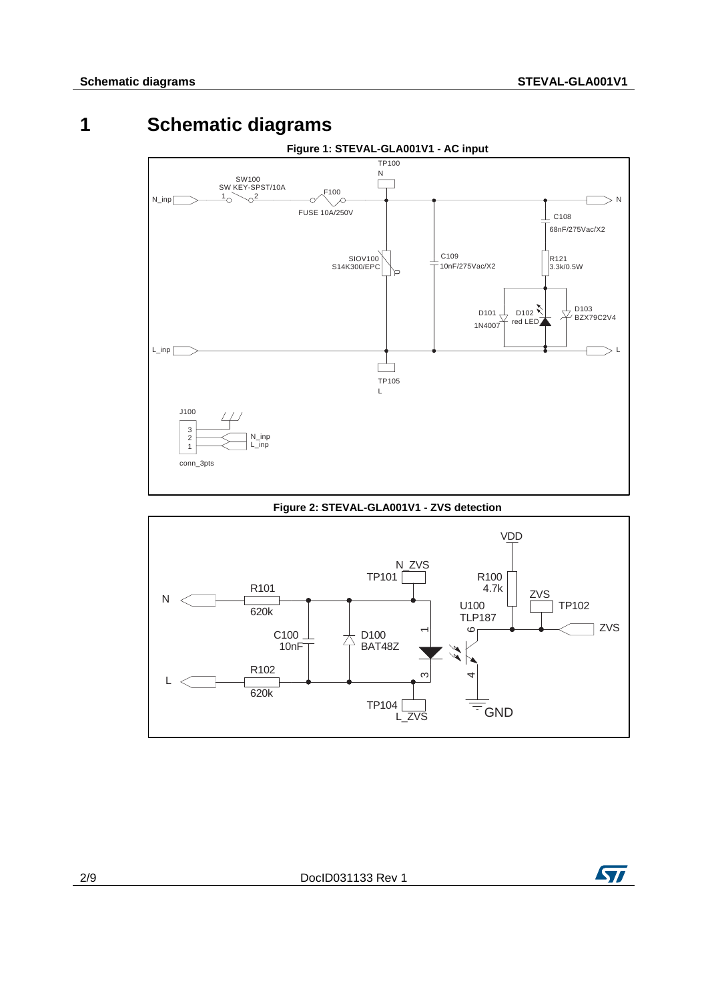## **1 Schematic diagrams**



#### **Figure 2: STEVAL-GLA001V1 - ZVS detection**



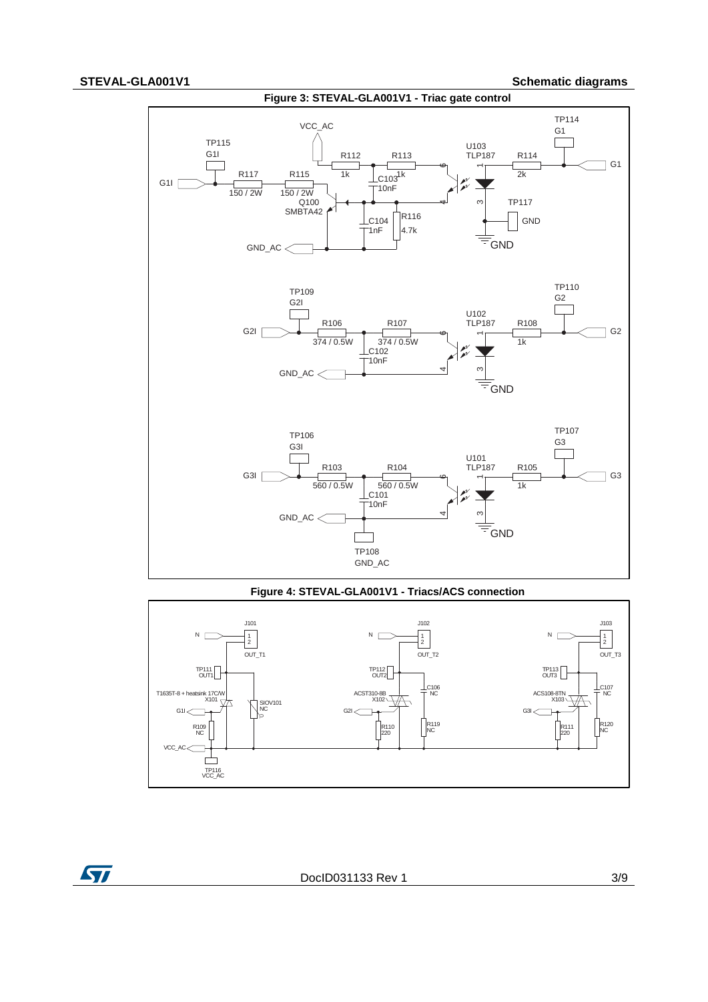

#### **Figure 4: STEVAL-GLA001V1 - Triacs/ACS connection**



ST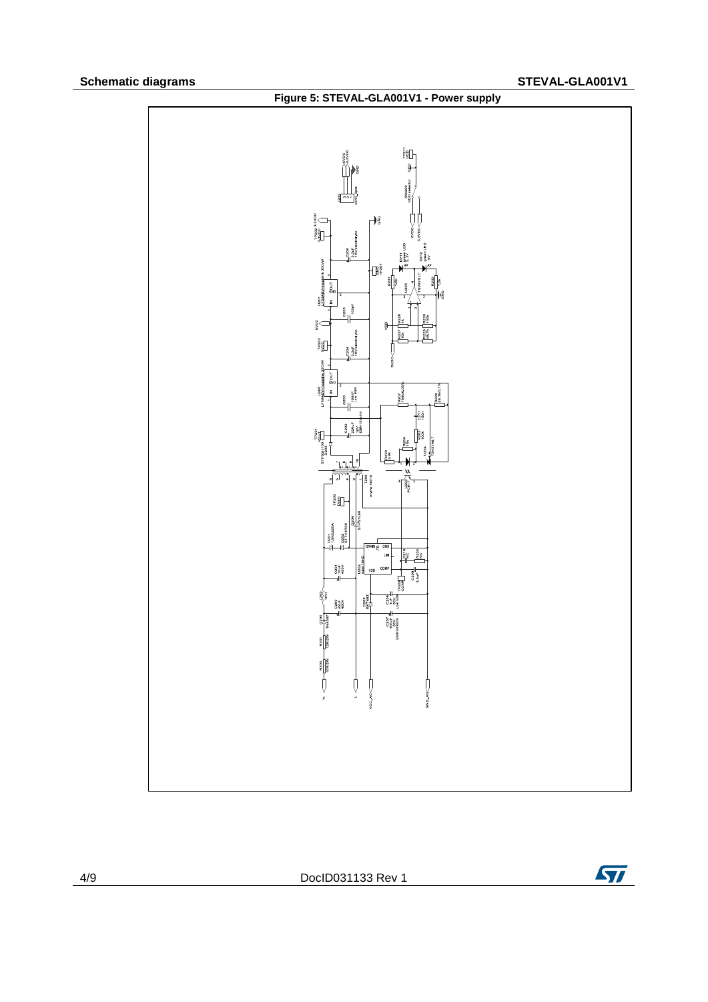

4/9 DocID031133 Rev 1

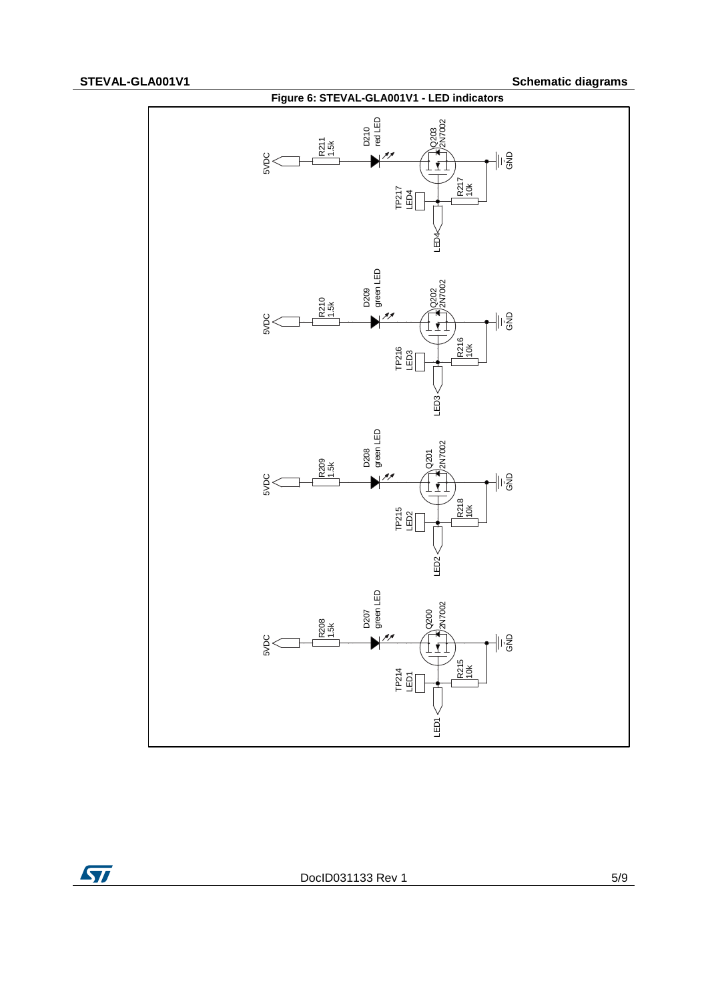

ST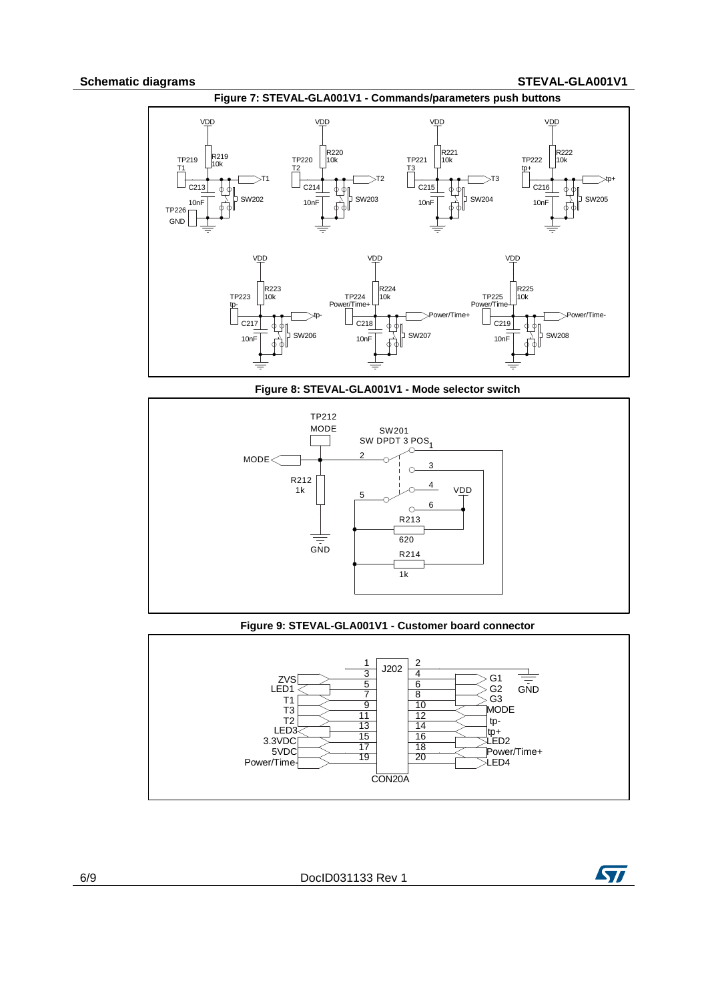#### **Schematic diagrams STEVAL-GLA001V1**



TP212 SW201 J. SW DPDT 3  $\overline{P}$ OS $\overline{1}$  $MODE<$ 2 3  $\bigcap$ R212 4 VDD 1k 5 6  $\circ$ R213 620  $\equiv$ **GND** R214  $1k$ 

#### **Figure 8: STEVAL-GLA001V1 - Mode selector switch**

#### **Figure 9: STEVAL-GLA001V1 - Customer board connector**



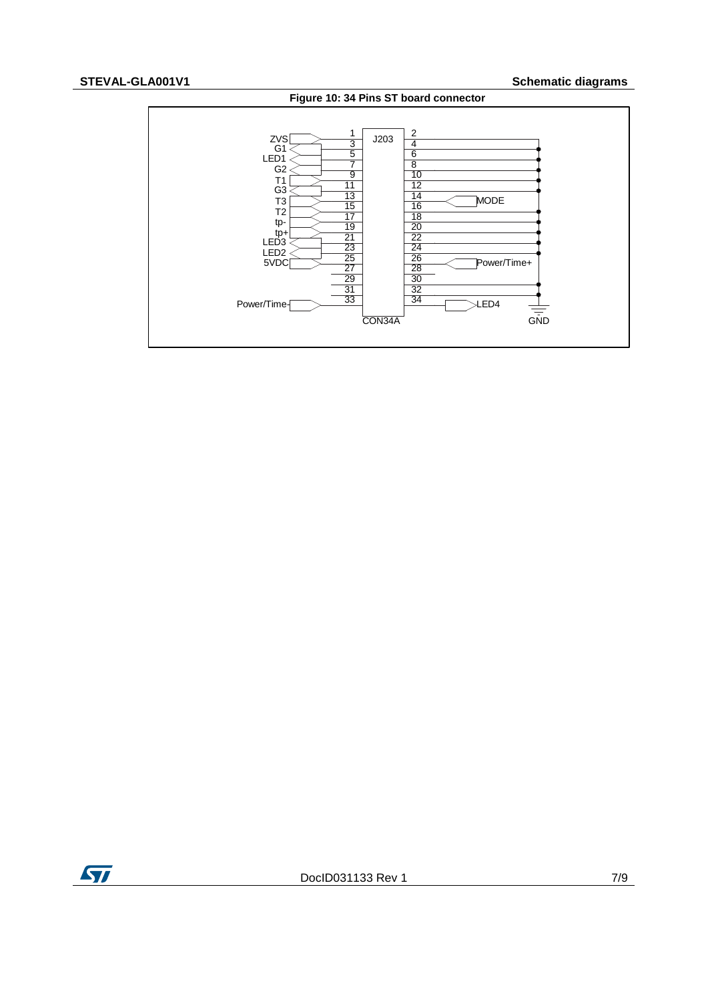### **STEVAL-GLA001V1 Schematic diagrams**





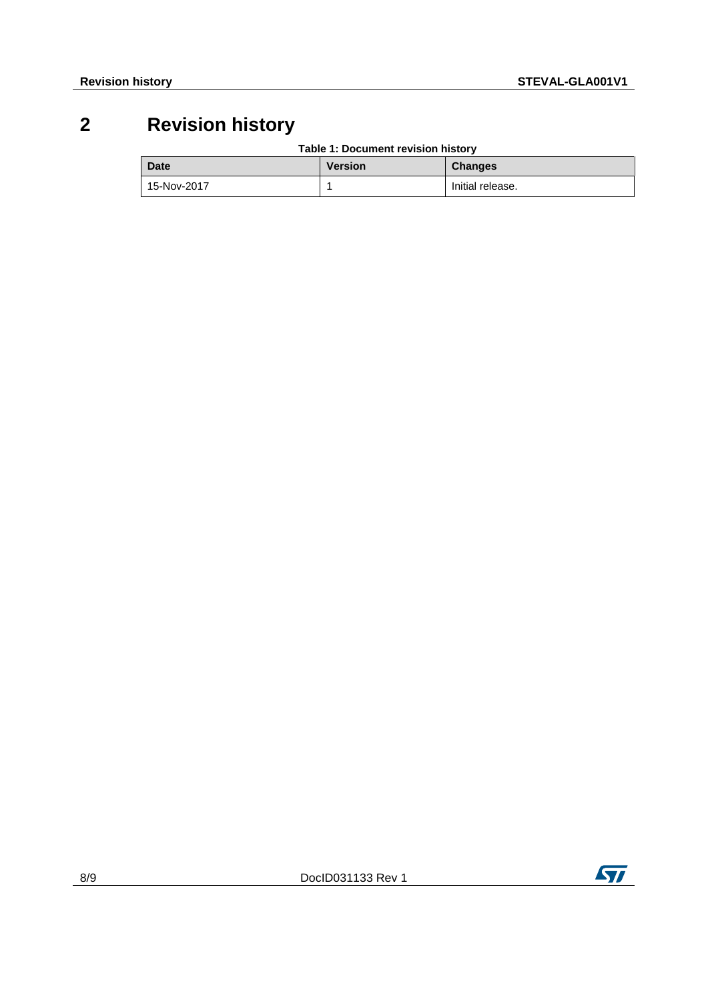## **2 Revision history**

**Table 1: Document revision history**

| <b>Date</b> | <b>Version</b> | <b>Changes</b>   |
|-------------|----------------|------------------|
| 15-Nov-2017 |                | Initial release. |